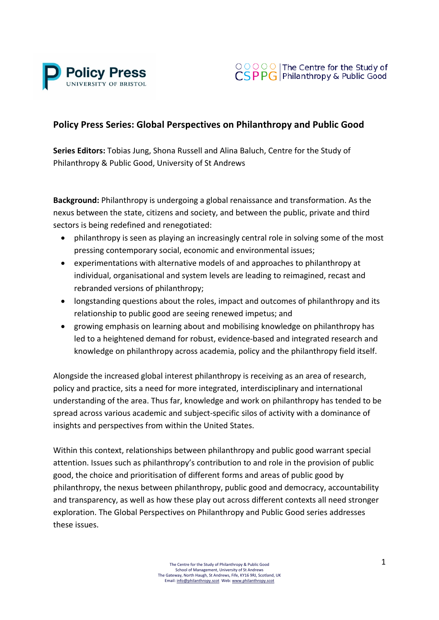



## **Policy Press Series: Global Perspectives on Philanthropy and Public Good**

**Series Editors:** Tobias Jung, Shona Russell and Alina Baluch, Centre for the Study of Philanthropy & Public Good, University of St Andrews

**Background:** Philanthropy is undergoing a global renaissance and transformation. As the nexus between the state, citizens and society, and between the public, private and third sectors is being redefined and renegotiated:

- philanthropy is seen as playing an increasingly central role in solving some of the most pressing contemporary social, economic and environmental issues;
- experimentations with alternative models of and approaches to philanthropy at individual, organisational and system levels are leading to reimagined, recast and rebranded versions of philanthropy;
- longstanding questions about the roles, impact and outcomes of philanthropy and its relationship to public good are seeing renewed impetus; and
- growing emphasis on learning about and mobilising knowledge on philanthropy has led to a heightened demand for robust, evidence-based and integrated research and knowledge on philanthropy across academia, policy and the philanthropy field itself.

Alongside the increased global interest philanthropy is receiving as an area of research, policy and practice, sits a need for more integrated, interdisciplinary and international understanding of the area. Thus far, knowledge and work on philanthropy has tended to be spread across various academic and subject-specific silos of activity with a dominance of insights and perspectives from within the United States.

Within this context, relationships between philanthropy and public good warrant special attention. Issues such as philanthropy's contribution to and role in the provision of public good, the choice and prioritisation of different forms and areas of public good by philanthropy, the nexus between philanthropy, public good and democracy, accountability and transparency, as well as how these play out across different contexts all need stronger exploration. The Global Perspectives on Philanthropy and Public Good series addresses these issues.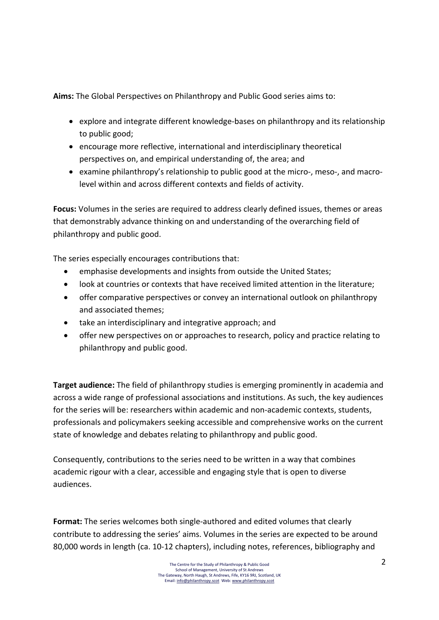**Aims:** The Global Perspectives on Philanthropy and Public Good series aims to:

- explore and integrate different knowledge-bases on philanthropy and its relationship to public good:
- encourage more reflective, international and interdisciplinary theoretical perspectives on, and empirical understanding of, the area; and
- examine philanthropy's relationship to public good at the micro-, meso-, and macrolevel within and across different contexts and fields of activity.

**Focus:** Volumes in the series are required to address clearly defined issues, themes or areas that demonstrably advance thinking on and understanding of the overarching field of philanthropy and public good.

The series especially encourages contributions that:

- emphasise developments and insights from outside the United States;
- look at countries or contexts that have received limited attention in the literature;
- offer comparative perspectives or convey an international outlook on philanthropy and associated themes:
- take an interdisciplinary and integrative approach; and
- offer new perspectives on or approaches to research, policy and practice relating to philanthropy and public good.

**Target audience:** The field of philanthropy studies is emerging prominently in academia and across a wide range of professional associations and institutions. As such, the key audiences for the series will be: researchers within academic and non-academic contexts, students, professionals and policymakers seeking accessible and comprehensive works on the current state of knowledge and debates relating to philanthropy and public good.

Consequently, contributions to the series need to be written in a way that combines academic rigour with a clear, accessible and engaging style that is open to diverse audiences.

**Format:** The series welcomes both single-authored and edited volumes that clearly contribute to addressing the series' aims. Volumes in the series are expected to be around 80,000 words in length (ca. 10-12 chapters), including notes, references, bibliography and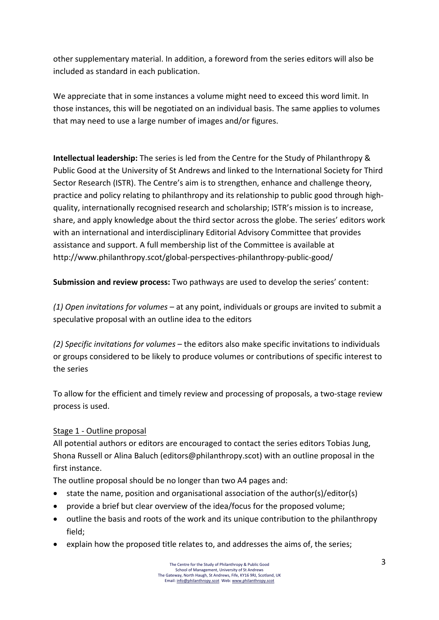other supplementary material. In addition, a foreword from the series editors will also be included as standard in each publication.

We appreciate that in some instances a volume might need to exceed this word limit. In those instances, this will be negotiated on an individual basis. The same applies to volumes that may need to use a large number of images and/or figures.

**Intellectual leadership:** The series is led from the Centre for the Study of Philanthropy & Public Good at the University of St Andrews and linked to the International Society for Third Sector Research (ISTR). The Centre's aim is to strengthen, enhance and challenge theory, practice and policy relating to philanthropy and its relationship to public good through highquality, internationally recognised research and scholarship; ISTR's mission is to increase, share, and apply knowledge about the third sector across the globe. The series' editors work with an international and interdisciplinary Editorial Advisory Committee that provides assistance and support. A full membership list of the Committee is available at http://www.philanthropy.scot/global-perspectives-philanthropy-public-good/ 

**Submission and review process:** Two pathways are used to develop the series' content:

*(1)* Open invitations for volumes – at any point, individuals or groups are invited to submit a speculative proposal with an outline idea to the editors

*(2) Specific invitations for volumes* – the editors also make specific invitations to individuals or groups considered to be likely to produce volumes or contributions of specific interest to the series

To allow for the efficient and timely review and processing of proposals, a two-stage review process is used.

## Stage 1 - Outline proposal

All potential authors or editors are encouraged to contact the series editors Tobias Jung, Shona Russell or Alina Baluch (editors@philanthropy.scot) with an outline proposal in the first instance.

The outline proposal should be no longer than two A4 pages and:

- state the name, position and organisational association of the author(s)/editor(s)
- provide a brief but clear overview of the idea/focus for the proposed volume;
- outline the basis and roots of the work and its unique contribution to the philanthropy field;
- explain how the proposed title relates to, and addresses the aims of, the series;